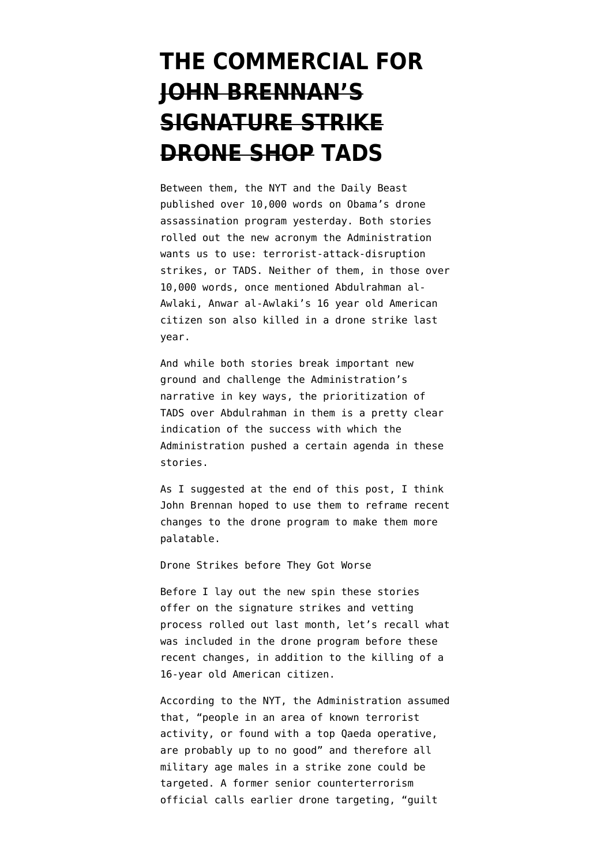## **[THE COMMERCIAL FOR](https://www.emptywheel.net/2012/05/30/the-commercial-for-john-brennans-signature-strike-drone-shop-tads/) [JOHN BRENNAN'S](https://www.emptywheel.net/2012/05/30/the-commercial-for-john-brennans-signature-strike-drone-shop-tads/) [SIGNATURE STRIKE](https://www.emptywheel.net/2012/05/30/the-commercial-for-john-brennans-signature-strike-drone-shop-tads/) [DRONE SHOP TADS](https://www.emptywheel.net/2012/05/30/the-commercial-for-john-brennans-signature-strike-drone-shop-tads/)**

Between them, the [NYT](https://www.nytimes.com/2012/05/29/world/obamas-leadership-in-war-on-al-qaeda.html?_r=1&pagewanted=all) and the [Daily Beast](http://www.thedailybeast.com/newsweek/2012/05/27/drones-the-silent-killers.html) published over 10,000 words on Obama's drone assassination program yesterday. Both stories rolled out the new acronym the Administration wants us to use: terrorist-attack-disruption strikes, or TADS. Neither of them, in those over 10,000 words, once mentioned Abdulrahman al-Awlaki, Anwar al-Awlaki's 16 year old American citizen son also killed in a drone strike last year.

And while both stories break important new ground and challenge the Administration's narrative in key ways, the prioritization of TADS over Abdulrahman in them is a pretty clear indication of the success with which the Administration pushed a certain agenda in these stories.

As I suggested at the end of [this post,](http://www.emptywheel.net/2012/05/29/angler-2-0-brennan-wields-his-puppet-strings-differently/) I think John Brennan hoped to use them to reframe recent changes to the drone program to make them more palatable.

Drone Strikes before They Got Worse

Before I lay out the new spin these stories offer on the signature strikes and vetting process rolled out last month, let's recall what was included in the drone program before these recent changes, in addition to the killing of a 16-year old American citizen.

According to the NYT, the Administration assumed that, "people in an area of known terrorist activity, or found with a top Qaeda operative, are probably up to no good" and therefore all military age males in a strike zone could be targeted. A former senior counterterrorism official calls earlier drone targeting, "guilt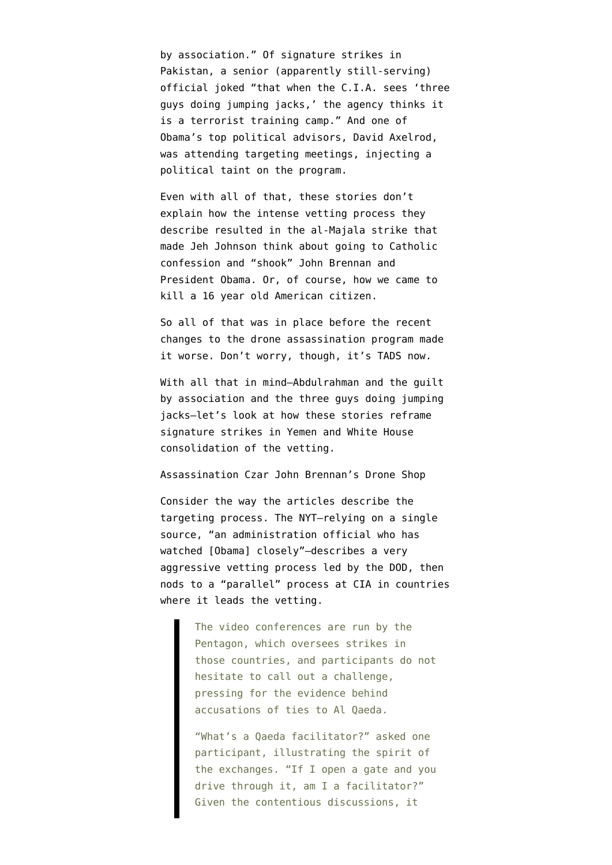by association." Of signature strikes in Pakistan, a senior (apparently still-serving) official joked "that when the C.I.A. sees 'three guys doing jumping jacks,' the agency thinks it is a terrorist training camp." And one of Obama's top political advisors, David Axelrod, was attending targeting meetings, injecting a political taint on the program.

Even with all of that, these stories don't explain how the intense vetting process they describe resulted in the al-Majala strike that made Jeh Johnson think about going to Catholic confession and "shook" John Brennan and President Obama. Or, of course, how we came to kill a 16 year old American citizen.

So all of that was in place before the recent changes to the drone assassination program made it worse. Don't worry, though, it's TADS now.

With all that in mind–Abdulrahman and the guilt by association and the three guys doing jumping jacks–let's look at how these stories reframe signature strikes in Yemen and White House consolidation of the vetting.

Assassination Czar John Brennan's Drone Shop

Consider the way the articles describe the targeting process. The NYT–relying on a single source, "an administration official who has watched [Obama] closely"–describes a very aggressive vetting process led by the DOD, then nods to a "parallel" process at CIA in countries where it leads the vetting.

> The video conferences are run by the Pentagon, which oversees strikes in those countries, and participants do not hesitate to call out a challenge, pressing for the evidence behind accusations of ties to Al Qaeda.

> "What's a Qaeda facilitator?" asked one participant, illustrating the spirit of the exchanges. "If I open a gate and you drive through it, am I a facilitator?" Given the contentious discussions, it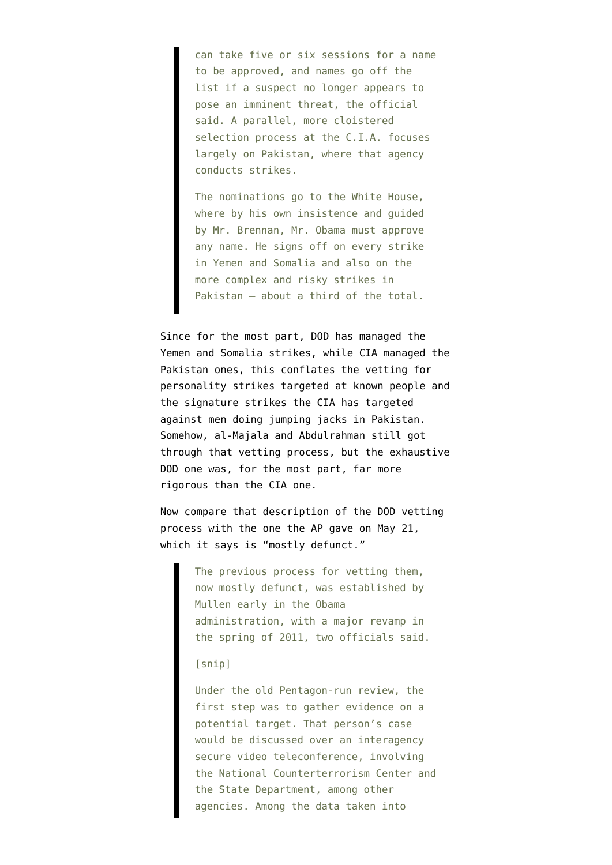can take five or six sessions for a name to be approved, and names go off the list if a suspect no longer appears to pose an imminent threat, the official said. A parallel, more cloistered selection process at the C.I.A. focuses largely on Pakistan, where that agency conducts strikes.

The nominations go to the White House, where by his own insistence and guided by Mr. Brennan, Mr. Obama must approve any name. He signs off on every strike in Yemen and Somalia and also on the more complex and risky strikes in Pakistan — about a third of the total.

Since for the most part, DOD has managed the Yemen and Somalia strikes, while CIA managed the Pakistan ones, this conflates the vetting for personality strikes targeted at known people and the signature strikes the CIA has targeted against men doing jumping jacks in Pakistan. Somehow, al-Majala and Abdulrahman still got through that vetting process, but the exhaustive DOD one was, for the most part, far more rigorous than the CIA one.

Now compare that description of the DOD vetting process with [the one the AP gave](http://www.washingtonpost.com/politics/federal_government/white-house-weighs-question-of-who-picks-al-qaida-targets-for-special-operations-drone-strikes/2012/05/21/gIQAkSdZgU_print.html) on May 21, which it says is "mostly defunct."

> The previous process for vetting them, now mostly defunct, was established by Mullen early in the Obama administration, with a major revamp in the spring of 2011, two officials said.

## [snip]

Under the old Pentagon-run review, the first step was to gather evidence on a potential target. That person's case would be discussed over an interagency secure video teleconference, involving the National Counterterrorism Center and the State Department, among other agencies. Among the data taken into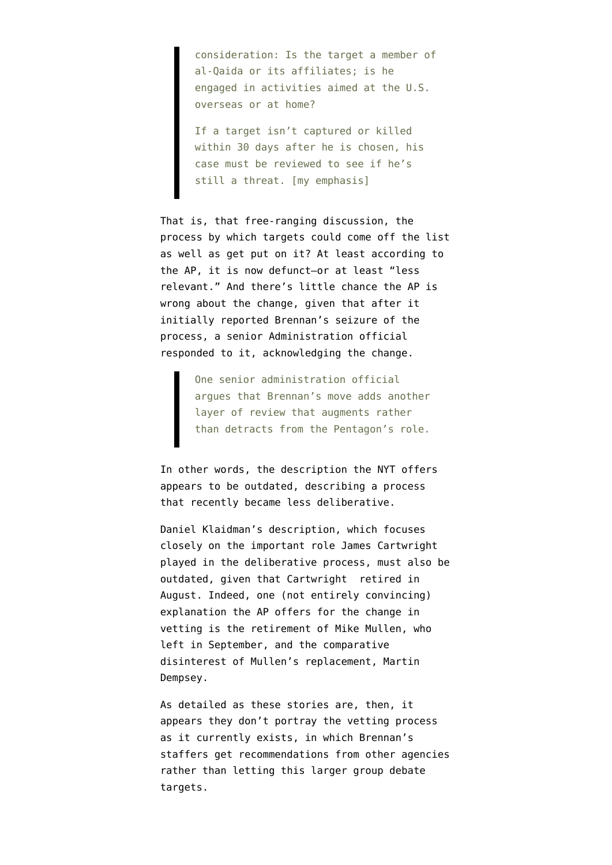consideration: Is the target a member of al-Qaida or its affiliates; is he engaged in activities aimed at the U.S. overseas or at home?

If a target isn't captured or killed within 30 days after he is chosen, his case must be reviewed to see if he's still a threat. [my emphasis]

That is, that free-ranging discussion, the process by which targets could come off the list as well as get put on it? At least according to the AP, it is now defunct–or at least "less relevant." And there's little chance the AP is wrong about the change, given that after it initially reported Brennan's seizure of the process, a senior Administration official responded to it, acknowledging the change.

> One senior administration official argues that Brennan's move adds another layer of review that augments rather than detracts from the Pentagon's role.

In other words, the description the NYT offers appears to be outdated, describing a process that recently became less deliberative.

Daniel Klaidman's description, which focuses closely on the important role James Cartwright played in the deliberative process, must also be outdated, given that Cartwright retired in August. Indeed, one (not entirely convincing) explanation the AP offers for the change in vetting is the retirement of Mike Mullen, who left in September, and the comparative disinterest of Mullen's replacement, Martin Dempsey.

As detailed as these stories are, then, it appears they don't portray the vetting process as it currently exists, in which Brennan's staffers get recommendations from other agencies rather than letting this larger group debate targets.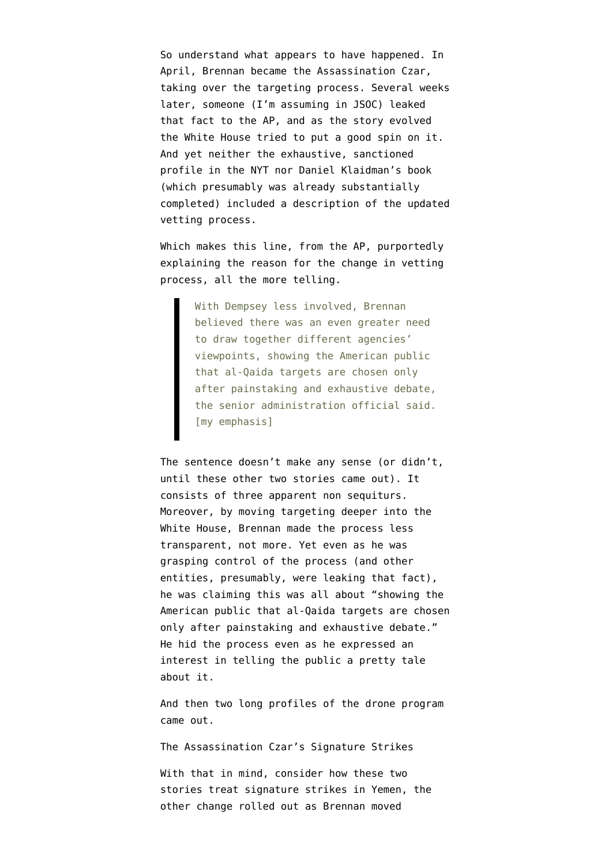So understand what appears to have happened. In April, Brennan became the Assassination Czar, taking over the targeting process. Several weeks later, someone (I'm assuming in JSOC) leaked that fact to the AP, and as the story evolved the White House tried to put a good spin on it. And yet neither the exhaustive, sanctioned profile in the NYT nor Daniel Klaidman's book (which presumably was already substantially completed) included a description of the updated vetting process.

Which makes this line, from the AP, purportedly explaining the reason for the change in vetting process, all the more telling.

> With Dempsey less involved, Brennan believed there was an even greater need to draw together different agencies' viewpoints, showing the American public that al-Qaida targets are chosen only after painstaking and exhaustive debate, the senior administration official said. [my emphasis]

The sentence doesn't make any sense (or didn't, until these other two stories came out). It consists of three apparent non sequiturs. Moreover, by moving targeting deeper into the White House, Brennan made the process less transparent, not more. Yet even as he was grasping control of the process (and other entities, presumably, were leaking that fact), he was claiming this was all about "showing the American public that al-Qaida targets are chosen only after painstaking and exhaustive debate." He hid the process even as he expressed an interest in telling the public a pretty tale about it.

And then two long profiles of the drone program came out.

The Assassination Czar's Signature Strikes

With that in mind, consider how these two stories treat signature strikes in Yemen, the other change rolled out as Brennan moved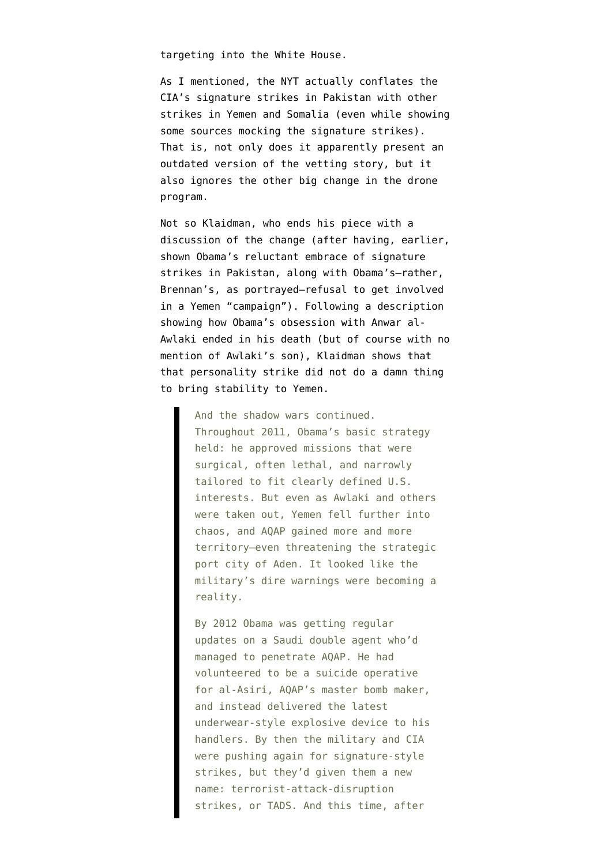targeting into the White House.

As I mentioned, the NYT actually conflates the CIA's signature strikes in Pakistan with other strikes in Yemen and Somalia (even while showing some sources mocking the signature strikes). That is, not only does it apparently present an outdated version of the vetting story, but it also ignores the other big change in the drone program.

Not so Klaidman, who ends his piece with a discussion of the change (after having, earlier, shown Obama's reluctant embrace of signature strikes in Pakistan, along with Obama's–rather, Brennan's, as portrayed–refusal to get involved in a Yemen "campaign"). Following a description showing how Obama's obsession with Anwar al-Awlaki ended in his death (but of course with no mention of Awlaki's son), Klaidman shows that that personality strike did not do a damn thing to bring stability to Yemen.

> And the shadow wars continued. Throughout 2011, Obama's basic strategy held: he approved missions that were surgical, often lethal, and narrowly tailored to fit clearly defined U.S. interests. But even as Awlaki and others were taken out, Yemen fell further into chaos, and AQAP gained more and more territory—even threatening the strategic port city of Aden. It looked like the military's dire warnings were becoming a reality.

By 2012 Obama was getting regular updates on a Saudi double agent who'd managed to penetrate AQAP. He had volunteered to be a suicide operative for al-Asiri, AQAP's master bomb maker, and instead delivered the latest underwear-style explosive device to his handlers. By then the military and CIA were pushing again for signature-style strikes, but they'd given them a new name: terrorist-attack-disruption strikes, or TADS. And this time, after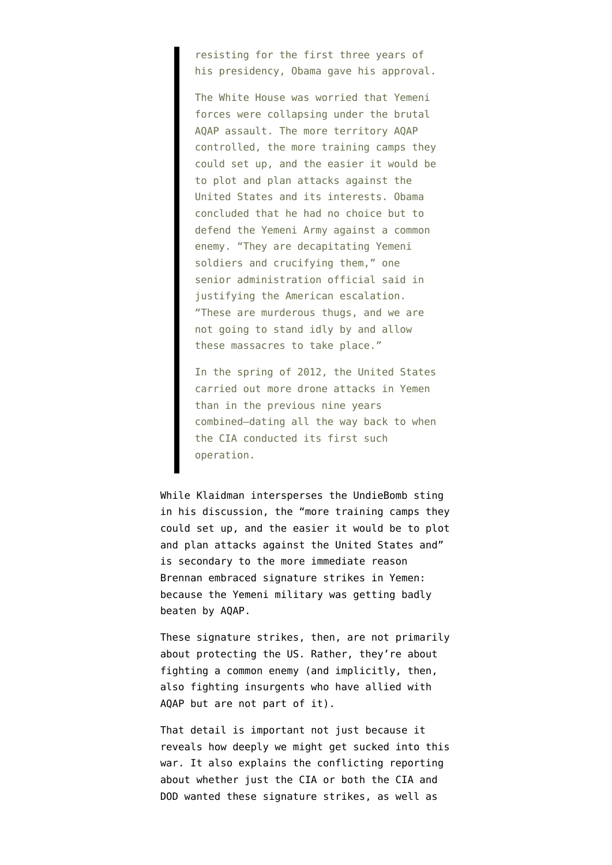resisting for the first three years of his presidency, Obama gave his approval.

The White House was worried that Yemeni forces were collapsing under the brutal AQAP assault. The more territory AQAP controlled, the more training camps they could set up, and the easier it would be to plot and plan attacks against the United States and its interests. Obama concluded that he had no choice but to defend the Yemeni Army against a common enemy. "They are decapitating Yemeni soldiers and crucifying them," one senior administration official said in justifying the American escalation. "These are murderous thugs, and we are not going to stand idly by and allow these massacres to take place."

In the spring of 2012, the United States carried out more drone attacks in Yemen than in the previous nine years combined—dating all the way back to when the CIA conducted its first such operation.

While Klaidman intersperses the UndieBomb sting in his discussion, the "more training camps they could set up, and the easier it would be to plot and plan attacks against the United States and" is secondary to the more immediate reason Brennan embraced signature strikes in Yemen: because the Yemeni military was getting badly beaten by AQAP.

These signature strikes, then, are not primarily about protecting the US. Rather, they're about fighting a common enemy (and implicitly, then, also fighting insurgents who have allied with AQAP but are not part of it).

That detail is important not just because it reveals how deeply we might get sucked into this war. It also explains the conflicting reporting about whether just the CIA or both the CIA and DOD wanted these signature strikes, as well as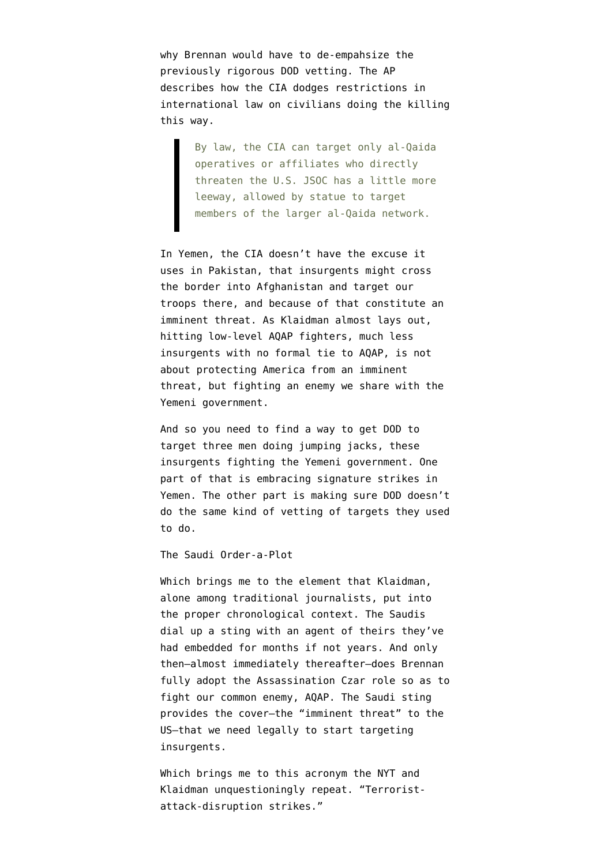why Brennan would have to de-empahsize the previously rigorous DOD vetting. The AP describes how the CIA dodges restrictions in international law on civilians doing the killing this way.

> By law, the CIA can target only al-Qaida operatives or affiliates who directly threaten the U.S. JSOC has a little more leeway, allowed by statue to target members of the larger al-Qaida network.

In Yemen, the CIA doesn't have the excuse it uses in Pakistan, that insurgents might cross the border into Afghanistan and target our troops there, and because of that constitute an imminent threat. As Klaidman almost lays out, hitting low-level AQAP fighters, much less insurgents with no formal tie to AQAP, is not about protecting America from an imminent threat, but fighting an enemy we share with the Yemeni government.

And so you need to find a way to get DOD to target three men doing jumping jacks, these insurgents fighting the Yemeni government. One part of that is embracing signature strikes in Yemen. The other part is making sure DOD doesn't do the same kind of vetting of targets they used to do.

The Saudi Order-a-Plot

Which brings me to the element that Klaidman, alone among traditional journalists, put into the proper chronological context. The Saudis dial up a sting with an agent of theirs they've had embedded for months if not years. And only then–almost immediately thereafter–does Brennan fully adopt the Assassination Czar role so as to fight our common enemy, AQAP. The Saudi sting provides the cover–the "imminent threat" to the US–that we need legally to start targeting insurgents.

Which brings me to this acronym the NYT and Klaidman unquestioningly repeat. "Terroristattack-disruption strikes."